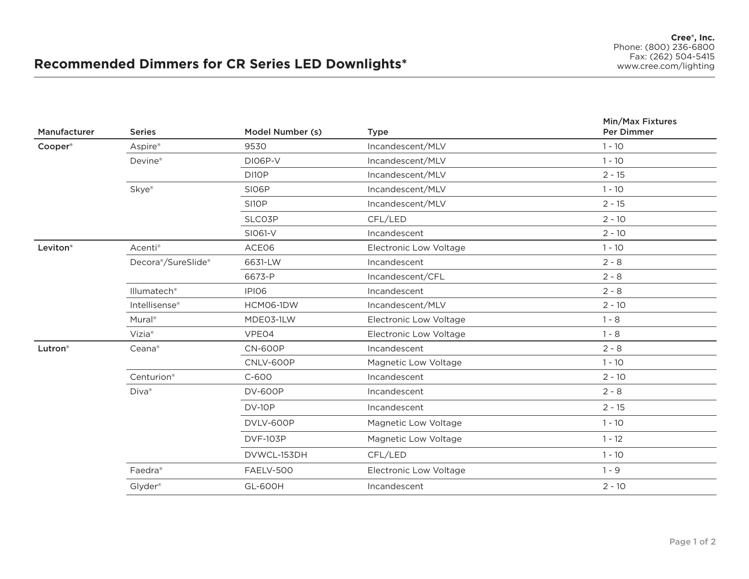## **Recommended Dimmers for CR Series LED Downlights\***

| Manufacturer | <b>Series</b>             | Model Number (s) | <b>Type</b>            | Min/Max Fixtures<br><b>Per Dimmer</b> |
|--------------|---------------------------|------------------|------------------------|---------------------------------------|
| Cooper®      | Aspire®                   | 9530             | Incandescent/MLV       | $1 - 10$                              |
|              | Devine®                   | DI06P-V          | Incandescent/MLV       | $1 - 10$                              |
|              |                           | DI10P            | Incandescent/MLV       | $2 - 15$                              |
|              | Skye®                     | SI06P            | Incandescent/MLV       | $1 - 10$                              |
|              |                           | SI1OP            | Incandescent/MLV       | $2 - 15$                              |
|              |                           | SLCO3P           | CFL/LED                | $2 - 10$                              |
|              |                           | SI061-V          | Incandescent           | $2 - 10$                              |
| Leviton®     | Acenti <sup>®</sup>       | ACE06            | Electronic Low Voltage | $1 - 10$                              |
|              | Decora®/SureSlide®        | 6631-LW          | Incandescent           | $2 - 8$                               |
|              |                           | 6673-P           | Incandescent/CFL       | $2 - 8$                               |
|              | Illumatech <sup>®</sup>   | IPIO6            | Incandescent           | $2 - 8$                               |
|              | Intellisense <sup>®</sup> | HCM06-1DW        | Incandescent/MLV       | $2 - 10$                              |
|              | Mural <sup>®</sup>        | MDE03-1LW        | Electronic Low Voltage | $1 - 8$                               |
|              | Vizia <sup>®</sup>        | VPE04            | Electronic Low Voltage | $1 - 8$                               |
| Lutron®      | Ceana®                    | <b>CN-600P</b>   | Incandescent           | $2 - 8$                               |
|              |                           | CNLV-600P        | Magnetic Low Voltage   | $1 - 10$                              |
|              | Centurion®                | $C-600$          | Incandescent           | $2 - 10$                              |
|              | Diva®                     | <b>DV-600P</b>   | Incandescent           | $2 - 8$                               |
|              |                           | <b>DV-10P</b>    | Incandescent           | $2 - 15$                              |
|              |                           | DVLV-600P        | Magnetic Low Voltage   | $1 - 10$                              |
|              |                           | <b>DVF-103P</b>  | Magnetic Low Voltage   | $1 - 12$                              |
|              |                           | DVWCL-153DH      | CFL/LED                | $1 - 10$                              |
|              | Faedra <sup>®</sup>       | <b>FAELV-500</b> | Electronic Low Voltage | $1 - 9$                               |
|              | Glyder <sup>®</sup>       | <b>GL-600H</b>   | Incandescent           | $2 - 10$                              |
|              |                           |                  |                        |                                       |